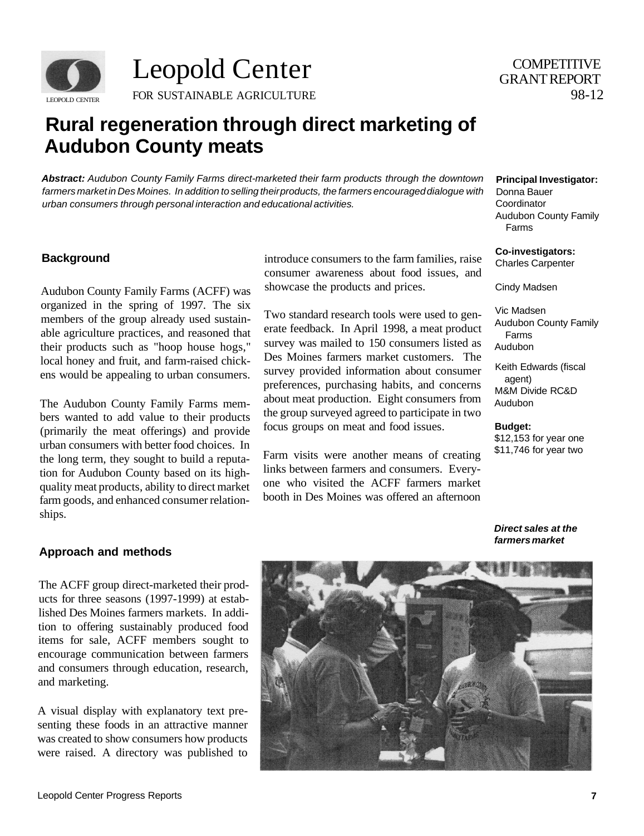

Leopold Center FOR SUSTAINABLE AGRICULTURE

# 98-12 **COMPETITIVE** GRANT REPORT

# **Rural regeneration through direct marketing of Audubon County meats**

**Abstract:** Audubon County Family Farms direct-marketed their farm products through the downtown farmers market in Des Moines. In addition to selling their products, the farmers encouraged dialogue with urban consumers through personal interaction and educational activities.

Audubon County Family Farms (ACFF) was showcase the products and prices. organized in the spring of 1997. The six ens would be appealing to urban consumers.

bers wanted to add value to their products (primarily the meat offerings) and provide urban consumers with better food choices. In farm goods, and enhanced consumer relationships.

**Background introduce consumers to the farm families, raise** consumer awareness about food issues, and

members of the group already used sustain-<br>
Two standard research tools were used to gen-<br>
able agriculture practices, and reasoned that<br>
erate feedback. In April 1998, a meat product able agriculture practices, and reasoned that erate feedback. In April 1998, a meat product<br>their products such as "boon house horse." Survey was mailed to 150 consumers listed as their products such as "hoop house hogs," survey was mailed to 150 consumers listed as logal honey and fault and farm reject object. local honey and fruit, and farm-raised chick- Des Moines farmers market customers. The preferences, purchasing habits, and concerns The Audubon County Family Farms mem-<br>here were approximated to edd value to their products the group surveyed agreed to participate in two focus groups on meat and food issues.

the long term, they sought to build a reputa-<br>tion for Audubon County based on its bigh-<br>links between farmers and consumers. Every-Farm visits were another means of creating tion for Audubon County based on its high-<br>augustus and consumers. Every-<br>augustus meet products obility to direct merket. One who visited the ACFF farmers market quality meat products, ability to direct market one who visited the ACFF farmers market<br>farm as a steed and subsessed assessmentation booth in Des Moines was offered an afternoon

#### **Principal Investigator:**

Donna Bauer **Coordinator** Audubon County Family Farms

**Co-investigators:** 

Charles Carpenter

Cindy Madsen

Vic Madsen Audubon County Family Farms Audubon

Keith Edwards (fiscal agent) M&M Divide RC&D Audubon

**Budget:**  \$12,153 for year one \$11,746 for year two

**Direct sales at the farmers market** 

#### **Approach and methods**

The ACFF group direct-marketed their products for three seasons (1997-1999) at established Des Moines farmers markets. In addition to offering sustainably produced food items for sale, ACFF members sought to encourage communication between farmers and consumers through education, research, and marketing.

A visual display with explanatory text presenting these foods in an attractive manner was created to show consumers how products were raised. A directory was published to

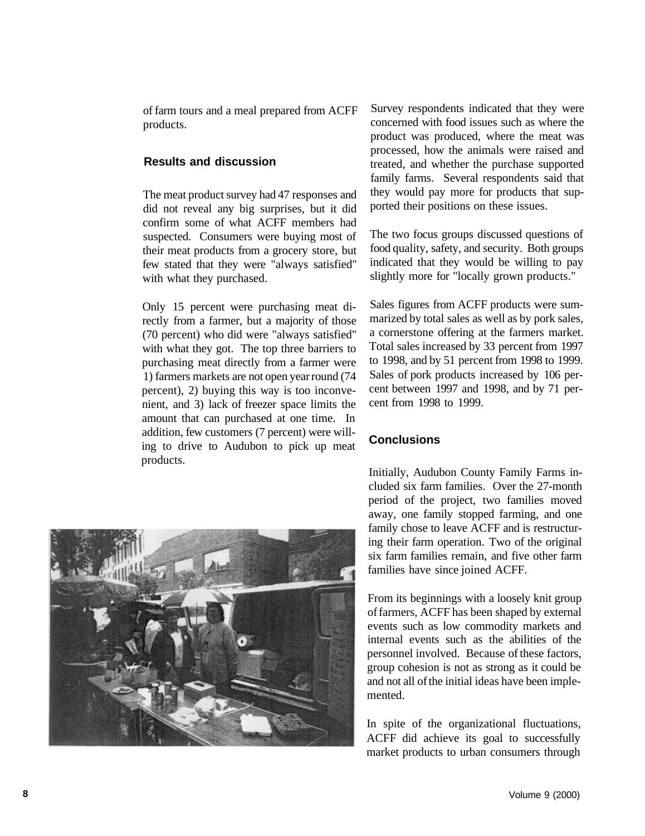of farm tours and a meal prepared from ACFF products.

#### **Results and discussion**

The meat product survey had 47 responses and did not reveal any big surprises, but it did confirm some of what ACFF members had suspected. Consumers were buying most of their meat products from a grocery store, but few stated that they were "always satisfied" with what they purchased.

Only 15 percent were purchasing meat directly from a farmer, but a majority of those (70 percent) who did were "always satisfied" with what they got. The top three barriers to purchasing meat directly from a farmer were 1) farmers markets are not open year round (74 percent), 2) buying this way is too inconvenient, and 3) lack of freezer space limits the amount that can purchased at one time. In addition, few customers (7 percent) were willing to drive to Audubon to pick up meat products.



Survey respondents indicated that they were concerned with food issues such as where the product was produced, where the meat was processed, how the animals were raised and treated, and whether the purchase supported family farms. Several respondents said that they would pay more for products that supported their positions on these issues.

The two focus groups discussed questions of food quality, safety, and security. Both groups indicated that they would be willing to pay slightly more for "locally grown products."

Sales figures from ACFF products were summarized by total sales as well as by pork sales, a cornerstone offering at the farmers market. Total sales increased by 33 percent from 1997 to 1998, and by 51 percent from 1998 to 1999. Sales of pork products increased by 106 percent between 1997 and 1998, and by 71 percent from 1998 to 1999.

## **Conclusions**

Initially, Audubon County Family Farms included six farm families. Over the 27-month period of the project, two families moved away, one family stopped farming, and one family chose to leave ACFF and is restructuring their farm operation. Two of the original six farm families remain, and five other farm families have since joined ACFF.

From its beginnings with a loosely knit group of farmers, ACFF has been shaped by external events such as low commodity markets and internal events such as the abilities of the personnel involved. Because of these factors, group cohesion is not as strong as it could be and not all of the initial ideas have been implemented.

In spite of the organizational fluctuations, ACFF did achieve its goal to successfully market products to urban consumers through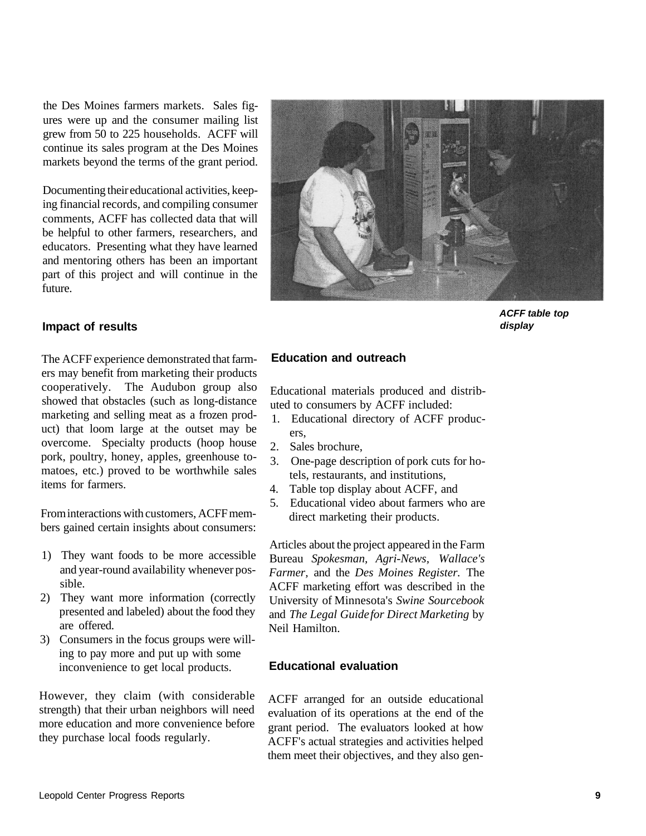the Des Moines farmers markets. Sales figures were up and the consumer mailing list grew from 50 to 225 households. ACFF will continue its sales program at the Des Moines markets beyond the terms of the grant period.

Documenting their educational activities, keeping financial records, and compiling consumer comments, ACFF has collected data that will be helpful to other farmers, researchers, and educators. Presenting what they have learned and mentoring others has been an important part of this project and will continue in the future.

#### **Impact of results**

The ACFF experience demonstrated that farmers may benefit from marketing their products cooperatively. The Audubon group also showed that obstacles (such as long-distance marketing and selling meat as a frozen product) that loom large at the outset may be overcome. Specialty products (hoop house pork, poultry, honey, apples, greenhouse tomatoes, etc.) proved to be worthwhile sales items for farmers.

From interactions with customers, ACFF members gained certain insights about consumers:

- 1) They want foods to be more accessible and year-round availability whenever possible.
- 2) They want more information (correctly presented and labeled) about the food they are offered.
- 3) Consumers in the focus groups were willing to pay more and put up with some inconvenience to get local products.

However, they claim (with considerable strength) that their urban neighbors will need more education and more convenience before they purchase local foods regularly.



**ACFF table top display** 

### **Education and outreach**

Educational materials produced and distributed to consumers by ACFF included:

- 1. Educational directory of ACFF producers,
- 2. Sales brochure,
- 3. One-page description of pork cuts for hotels, restaurants, and institutions,
- 4. Table top display about ACFF, and
- 5. Educational video about farmers who are direct marketing their products.

Articles about the project appeared in the Farm Bureau *Spokesman, Agri-News, Wallace's Farmer,* and the *Des Moines Register.* The ACFF marketing effort was described in the University of Minnesota's *Swine Sourcebook*  and *The Legal Guide for Direct Marketing* by Neil Hamilton.

#### **Educational evaluation**

ACFF arranged for an outside educational evaluation of its operations at the end of the grant period. The evaluators looked at how ACFF's actual strategies and activities helped them meet their objectives, and they also gen-